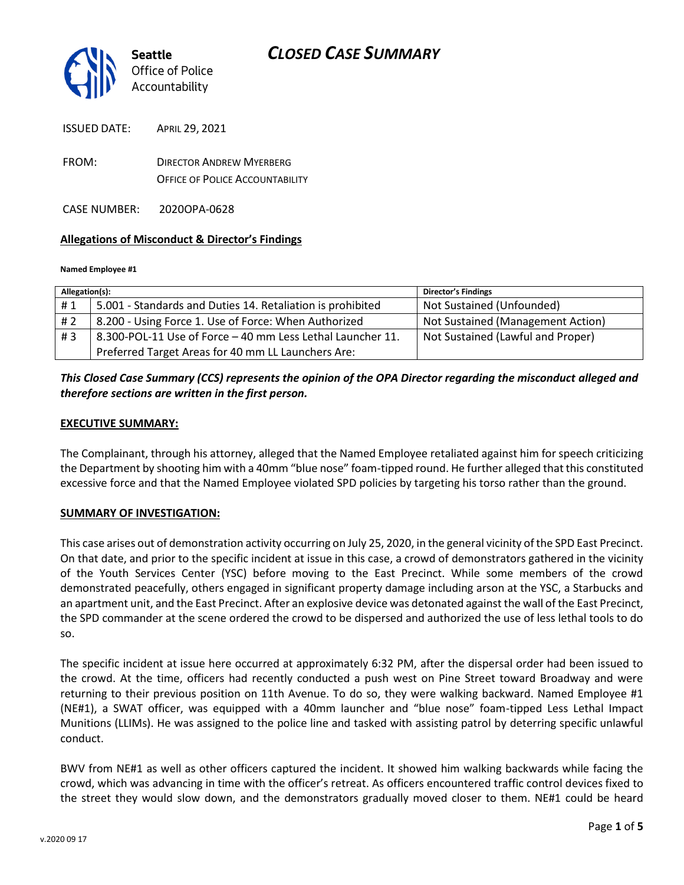

ISSUED DATE: APRIL 29, 2021 FROM: DIRECTOR ANDREW MYERBERG

OFFICE OF POLICE ACCOUNTABILITY

CASE NUMBER: 2020OPA-0628

#### **Allegations of Misconduct & Director's Findings**

#### **Named Employee #1**

| Allegation(s): |                                                            | <b>Director's Findings</b>        |
|----------------|------------------------------------------------------------|-----------------------------------|
| #1             | 5.001 - Standards and Duties 14. Retaliation is prohibited | Not Sustained (Unfounded)         |
| # 2            | 8.200 - Using Force 1. Use of Force: When Authorized       | Not Sustained (Management Action) |
| #3             | 8.300-POL-11 Use of Force - 40 mm Less Lethal Launcher 11. | Not Sustained (Lawful and Proper) |
|                | Preferred Target Areas for 40 mm LL Launchers Are:         |                                   |

### *This Closed Case Summary (CCS) represents the opinion of the OPA Director regarding the misconduct alleged and therefore sections are written in the first person.*

#### **EXECUTIVE SUMMARY:**

The Complainant, through his attorney, alleged that the Named Employee retaliated against him for speech criticizing the Department by shooting him with a 40mm "blue nose" foam-tipped round. He further alleged that this constituted excessive force and that the Named Employee violated SPD policies by targeting his torso rather than the ground.

#### **SUMMARY OF INVESTIGATION:**

This case arises out of demonstration activity occurring on July 25, 2020, in the general vicinity of the SPD East Precinct. On that date, and prior to the specific incident at issue in this case, a crowd of demonstrators gathered in the vicinity of the Youth Services Center (YSC) before moving to the East Precinct. While some members of the crowd demonstrated peacefully, others engaged in significant property damage including arson at the YSC, a Starbucks and an apartment unit, and the East Precinct. After an explosive device was detonated against the wall of the East Precinct, the SPD commander at the scene ordered the crowd to be dispersed and authorized the use of less lethal tools to do so.

The specific incident at issue here occurred at approximately 6:32 PM, after the dispersal order had been issued to the crowd. At the time, officers had recently conducted a push west on Pine Street toward Broadway and were returning to their previous position on 11th Avenue. To do so, they were walking backward. Named Employee #1 (NE#1), a SWAT officer, was equipped with a 40mm launcher and "blue nose" foam-tipped Less Lethal Impact Munitions (LLIMs). He was assigned to the police line and tasked with assisting patrol by deterring specific unlawful conduct.

BWV from NE#1 as well as other officers captured the incident. It showed him walking backwards while facing the crowd, which was advancing in time with the officer's retreat. As officers encountered traffic control devices fixed to the street they would slow down, and the demonstrators gradually moved closer to them. NE#1 could be heard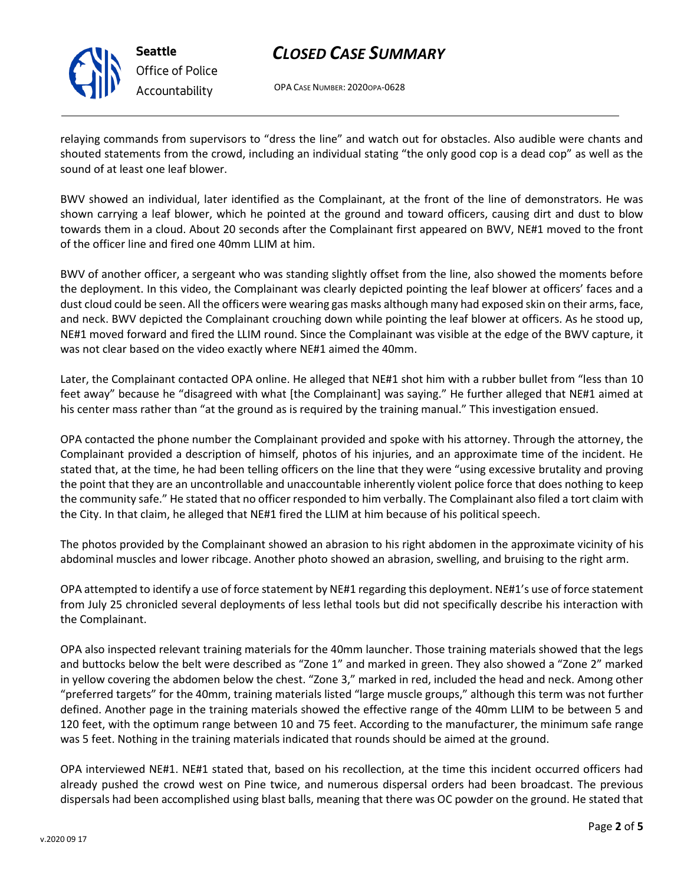

**Seattle** *Office of Police Accountability*

## *CLOSED CASE SUMMARY*

OPA CASE NUMBER: 2020OPA-0628

relaying commands from supervisors to "dress the line" and watch out for obstacles. Also audible were chants and shouted statements from the crowd, including an individual stating "the only good cop is a dead cop" as well as the sound of at least one leaf blower.

BWV showed an individual, later identified as the Complainant, at the front of the line of demonstrators. He was shown carrying a leaf blower, which he pointed at the ground and toward officers, causing dirt and dust to blow towards them in a cloud. About 20 seconds after the Complainant first appeared on BWV, NE#1 moved to the front of the officer line and fired one 40mm LLIM at him.

BWV of another officer, a sergeant who was standing slightly offset from the line, also showed the moments before the deployment. In this video, the Complainant was clearly depicted pointing the leaf blower at officers' faces and a dust cloud could be seen. All the officers were wearing gas masks although many had exposed skin on their arms, face, and neck. BWV depicted the Complainant crouching down while pointing the leaf blower at officers. As he stood up, NE#1 moved forward and fired the LLIM round. Since the Complainant was visible at the edge of the BWV capture, it was not clear based on the video exactly where NE#1 aimed the 40mm.

Later, the Complainant contacted OPA online. He alleged that NE#1 shot him with a rubber bullet from "less than 10 feet away" because he "disagreed with what [the Complainant] was saying." He further alleged that NE#1 aimed at his center mass rather than "at the ground as is required by the training manual." This investigation ensued.

OPA contacted the phone number the Complainant provided and spoke with his attorney. Through the attorney, the Complainant provided a description of himself, photos of his injuries, and an approximate time of the incident. He stated that, at the time, he had been telling officers on the line that they were "using excessive brutality and proving the point that they are an uncontrollable and unaccountable inherently violent police force that does nothing to keep the community safe." He stated that no officer responded to him verbally. The Complainant also filed a tort claim with the City. In that claim, he alleged that NE#1 fired the LLIM at him because of his political speech.

The photos provided by the Complainant showed an abrasion to his right abdomen in the approximate vicinity of his abdominal muscles and lower ribcage. Another photo showed an abrasion, swelling, and bruising to the right arm.

OPA attempted to identify a use of force statement by NE#1 regarding this deployment. NE#1's use of force statement from July 25 chronicled several deployments of less lethal tools but did not specifically describe his interaction with the Complainant.

OPA also inspected relevant training materials for the 40mm launcher. Those training materials showed that the legs and buttocks below the belt were described as "Zone 1" and marked in green. They also showed a "Zone 2" marked in yellow covering the abdomen below the chest. "Zone 3," marked in red, included the head and neck. Among other "preferred targets" for the 40mm, training materials listed "large muscle groups," although this term was not further defined. Another page in the training materials showed the effective range of the 40mm LLIM to be between 5 and 120 feet, with the optimum range between 10 and 75 feet. According to the manufacturer, the minimum safe range was 5 feet. Nothing in the training materials indicated that rounds should be aimed at the ground.

OPA interviewed NE#1. NE#1 stated that, based on his recollection, at the time this incident occurred officers had already pushed the crowd west on Pine twice, and numerous dispersal orders had been broadcast. The previous dispersals had been accomplished using blast balls, meaning that there was OC powder on the ground. He stated that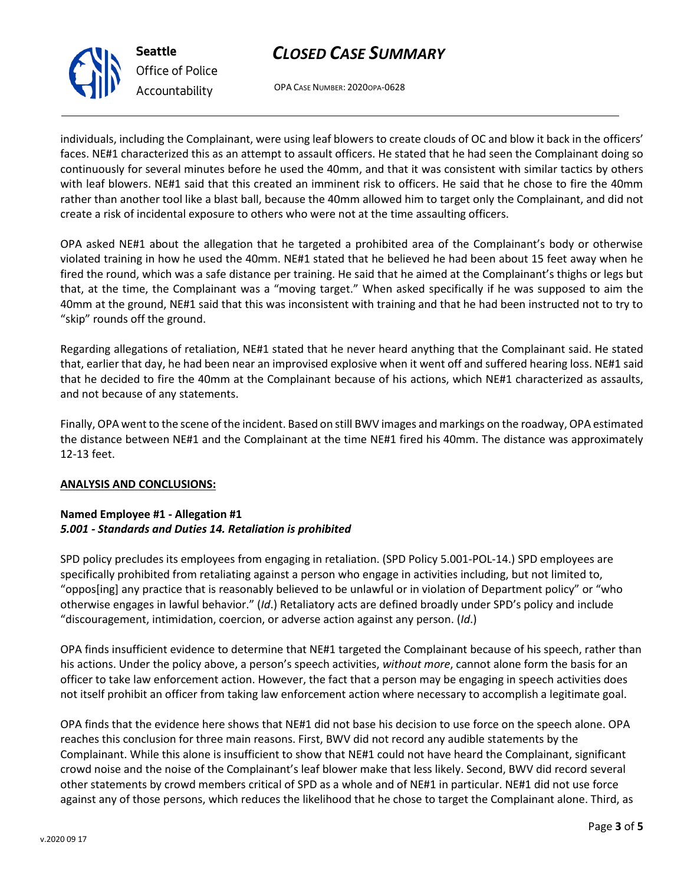# *CLOSED CASE SUMMARY*

OPA CASE NUMBER: 2020OPA-0628

individuals, including the Complainant, were using leaf blowers to create clouds of OC and blow it back in the officers' faces. NE#1 characterized this as an attempt to assault officers. He stated that he had seen the Complainant doing so continuously for several minutes before he used the 40mm, and that it was consistent with similar tactics by others with leaf blowers. NE#1 said that this created an imminent risk to officers. He said that he chose to fire the 40mm rather than another tool like a blast ball, because the 40mm allowed him to target only the Complainant, and did not create a risk of incidental exposure to others who were not at the time assaulting officers.

OPA asked NE#1 about the allegation that he targeted a prohibited area of the Complainant's body or otherwise violated training in how he used the 40mm. NE#1 stated that he believed he had been about 15 feet away when he fired the round, which was a safe distance per training. He said that he aimed at the Complainant's thighs or legs but that, at the time, the Complainant was a "moving target." When asked specifically if he was supposed to aim the 40mm at the ground, NE#1 said that this was inconsistent with training and that he had been instructed not to try to "skip" rounds off the ground.

Regarding allegations of retaliation, NE#1 stated that he never heard anything that the Complainant said. He stated that, earlier that day, he had been near an improvised explosive when it went off and suffered hearing loss. NE#1 said that he decided to fire the 40mm at the Complainant because of his actions, which NE#1 characterized as assaults, and not because of any statements.

Finally, OPA went to the scene of the incident. Based on still BWV images and markings on the roadway, OPA estimated the distance between NE#1 and the Complainant at the time NE#1 fired his 40mm. The distance was approximately 12-13 feet.

### **ANALYSIS AND CONCLUSIONS:**

### **Named Employee #1 - Allegation #1** *5.001 - Standards and Duties 14. Retaliation is prohibited*

SPD policy precludes its employees from engaging in retaliation. (SPD Policy 5.001-POL-14.) SPD employees are specifically prohibited from retaliating against a person who engage in activities including, but not limited to, "oppos[ing] any practice that is reasonably believed to be unlawful or in violation of Department policy" or "who otherwise engages in lawful behavior." (*Id*.) Retaliatory acts are defined broadly under SPD's policy and include "discouragement, intimidation, coercion, or adverse action against any person. (*Id*.)

OPA finds insufficient evidence to determine that NE#1 targeted the Complainant because of his speech, rather than his actions. Under the policy above, a person's speech activities, *without more*, cannot alone form the basis for an officer to take law enforcement action. However, the fact that a person may be engaging in speech activities does not itself prohibit an officer from taking law enforcement action where necessary to accomplish a legitimate goal.

OPA finds that the evidence here shows that NE#1 did not base his decision to use force on the speech alone. OPA reaches this conclusion for three main reasons. First, BWV did not record any audible statements by the Complainant. While this alone is insufficient to show that NE#1 could not have heard the Complainant, significant crowd noise and the noise of the Complainant's leaf blower make that less likely. Second, BWV did record several other statements by crowd members critical of SPD as a whole and of NE#1 in particular. NE#1 did not use force against any of those persons, which reduces the likelihood that he chose to target the Complainant alone. Third, as



**Seattle** *Office of Police Accountability*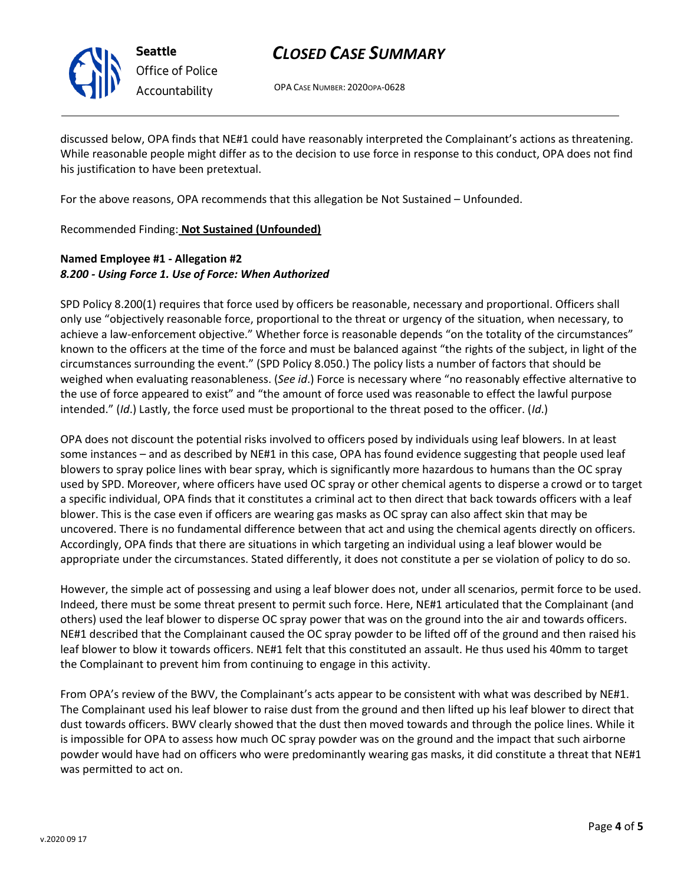

**Seattle** *Office of Police Accountability*

# *CLOSED CASE SUMMARY*

OPA CASE NUMBER: 2020OPA-0628

discussed below, OPA finds that NE#1 could have reasonably interpreted the Complainant's actions as threatening. While reasonable people might differ as to the decision to use force in response to this conduct, OPA does not find his justification to have been pretextual.

For the above reasons, OPA recommends that this allegation be Not Sustained – Unfounded.

Recommended Finding: **Not Sustained (Unfounded)**

### **Named Employee #1 - Allegation #2** *8.200 - Using Force 1. Use of Force: When Authorized*

SPD Policy 8.200(1) requires that force used by officers be reasonable, necessary and proportional. Officers shall only use "objectively reasonable force, proportional to the threat or urgency of the situation, when necessary, to achieve a law-enforcement objective." Whether force is reasonable depends "on the totality of the circumstances" known to the officers at the time of the force and must be balanced against "the rights of the subject, in light of the circumstances surrounding the event." (SPD Policy 8.050.) The policy lists a number of factors that should be weighed when evaluating reasonableness. (*See id*.) Force is necessary where "no reasonably effective alternative to the use of force appeared to exist" and "the amount of force used was reasonable to effect the lawful purpose intended." (*Id*.) Lastly, the force used must be proportional to the threat posed to the officer. (*Id*.)

OPA does not discount the potential risks involved to officers posed by individuals using leaf blowers. In at least some instances – and as described by NE#1 in this case, OPA has found evidence suggesting that people used leaf blowers to spray police lines with bear spray, which is significantly more hazardous to humans than the OC spray used by SPD. Moreover, where officers have used OC spray or other chemical agents to disperse a crowd or to target a specific individual, OPA finds that it constitutes a criminal act to then direct that back towards officers with a leaf blower. This is the case even if officers are wearing gas masks as OC spray can also affect skin that may be uncovered. There is no fundamental difference between that act and using the chemical agents directly on officers. Accordingly, OPA finds that there are situations in which targeting an individual using a leaf blower would be appropriate under the circumstances. Stated differently, it does not constitute a per se violation of policy to do so.

However, the simple act of possessing and using a leaf blower does not, under all scenarios, permit force to be used. Indeed, there must be some threat present to permit such force. Here, NE#1 articulated that the Complainant (and others) used the leaf blower to disperse OC spray power that was on the ground into the air and towards officers. NE#1 described that the Complainant caused the OC spray powder to be lifted off of the ground and then raised his leaf blower to blow it towards officers. NE#1 felt that this constituted an assault. He thus used his 40mm to target the Complainant to prevent him from continuing to engage in this activity.

From OPA's review of the BWV, the Complainant's acts appear to be consistent with what was described by NE#1. The Complainant used his leaf blower to raise dust from the ground and then lifted up his leaf blower to direct that dust towards officers. BWV clearly showed that the dust then moved towards and through the police lines. While it is impossible for OPA to assess how much OC spray powder was on the ground and the impact that such airborne powder would have had on officers who were predominantly wearing gas masks, it did constitute a threat that NE#1 was permitted to act on.